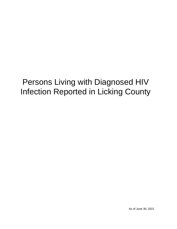# Persons Living with Diagnosed HIV Infection Reported in Licking County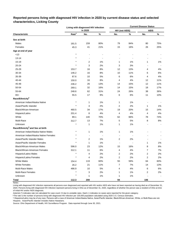|                                                                                                                                                                                                                                                |                   | Living with diagnosed HIV infection |                          |                       |                | <b>Current Disease Status</b> |       |
|------------------------------------------------------------------------------------------------------------------------------------------------------------------------------------------------------------------------------------------------|-------------------|-------------------------------------|--------------------------|-----------------------|----------------|-------------------------------|-------|
| Males<br>Females<br>Age at end of year<br>< 13<br>$13 - 14$<br>$15 - 19$<br>20-24<br>25-29<br>30-34<br>35-39<br>40-44<br>45-49<br>50-54<br>55-64<br>$65+$<br>American Indian/Alaska Native<br>Asian/Pacific Islander<br>Black/African-American |                   | in 2020                             |                          | <b>HIV (not AIDS)</b> |                | <b>AIDS</b>                   |       |
| Characteristic                                                                                                                                                                                                                                 | Rate <sup>a</sup> | No.                                 | %                        | No.                   | $\%$           | No.                           | $\%$  |
| Sex at birth                                                                                                                                                                                                                                   |                   |                                     |                          |                       |                |                               |       |
|                                                                                                                                                                                                                                                | 181.5             | 159                                 | 80%                      | 79                    | 84%            | 80                            | 75%   |
|                                                                                                                                                                                                                                                | 45.3              | 41                                  | 21%                      | 15                    | 16%            | 26                            | 25%   |
|                                                                                                                                                                                                                                                |                   |                                     |                          |                       |                |                               |       |
|                                                                                                                                                                                                                                                | $\star$           |                                     |                          |                       |                |                               |       |
|                                                                                                                                                                                                                                                |                   | ä,                                  |                          |                       |                |                               |       |
|                                                                                                                                                                                                                                                |                   | 2                                   | 1%                       | 1                     | 1%             | 1                             | 1%    |
|                                                                                                                                                                                                                                                | $\star$           | 3                                   | 2%                       | 3                     | 3%             |                               |       |
|                                                                                                                                                                                                                                                | 153.7             | 16                                  | 8%                       | 12                    | 13%            | 4                             | 4%    |
|                                                                                                                                                                                                                                                | 146.2             | 16                                  | 8%                       | 10                    | 11%            | 6                             | $6\%$ |
|                                                                                                                                                                                                                                                | 87.6              | 10                                  | 5%                       | 6                     | $6\%$          | 4                             | 4%    |
|                                                                                                                                                                                                                                                | 150.0             | 16                                  | 8%                       | 4                     | 4%             | 12                            | 11%   |
|                                                                                                                                                                                                                                                | 236.2             | 26                                  | 13%                      | 14                    | 15%            | 12                            | 11%   |
|                                                                                                                                                                                                                                                | 269.1             | 32                                  | 16%                      | 14                    | 15%            | 18                            | 17%   |
|                                                                                                                                                                                                                                                | 248.6             | 62                                  | 31%                      | 24                    | 26%            | 38                            | 36%   |
|                                                                                                                                                                                                                                                | 55.5              | 17                                  | 9%                       | 6                     | $6\%$          | 11                            | 10%   |
| Race/Ethnicity <sup>b</sup>                                                                                                                                                                                                                    |                   |                                     |                          |                       |                |                               |       |
|                                                                                                                                                                                                                                                | $\star$           | 1                                   | 1%                       | 1                     | 1%             |                               |       |
|                                                                                                                                                                                                                                                | $\star$           | 3                                   | 2%                       | 2                     | 2%             | 1                             | 1%    |
|                                                                                                                                                                                                                                                | 460.5             | 34                                  | 17%                      | 19                    | 20%            | 15                            | 14%   |
| Hispanic/Latinx                                                                                                                                                                                                                                | 201.4             | 8                                   | 4%                       | $\overline{4}$        | 4%             | 4                             | 4%    |
| White                                                                                                                                                                                                                                          | 89.1              | 140                                 | 70%                      | 62                    | 66%            | 78                            | 74%   |
| Multi-Race                                                                                                                                                                                                                                     | 312.7             | 13                                  | 7%                       | 5                     | $5%$           | 8                             | $8%$  |
| Unknown                                                                                                                                                                                                                                        | $\star$           | 1                                   | 1%                       | 1                     | 1%             |                               |       |
| Race/Ethnicity <sup>b</sup> and Sex at birth                                                                                                                                                                                                   |                   |                                     |                          |                       |                |                               |       |
| American Indian/Alaska Native Males                                                                                                                                                                                                            | $\star$           | 1                                   | $1\%$                    | 1                     | 1%             |                               |       |
| American Indian/Alaska Native Females                                                                                                                                                                                                          |                   | $\overline{a}$                      | $\overline{\phantom{a}}$ |                       | $\overline{a}$ |                               |       |
| Asian/Pacific Islander Males                                                                                                                                                                                                                   |                   | $\overline{c}$                      | 1%                       | 2                     | 2%             |                               |       |
| Asian/Pacific Islander Females                                                                                                                                                                                                                 |                   | 1                                   | 1%                       |                       |                | 1                             | 1%    |
| Black/African-American Males                                                                                                                                                                                                                   | 596.0             | 23                                  | 12%                      | 15                    | 16%            | 8                             | 8%    |
| Black/African-American Females                                                                                                                                                                                                                 | 312.1             | 11                                  | $6\%$                    | 4                     | $4\%$          | 7                             | $7\%$ |
| Hispanic/Latino Males                                                                                                                                                                                                                          | $\star$           | 4                                   | 2%                       | 2                     | 2%             | 2                             | 2%    |
| Hispanic/Latina Females                                                                                                                                                                                                                        | $\star$           | 4                                   | 2%                       | $\overline{c}$        | 2%             | 2                             | 2%    |
| <b>White Males</b>                                                                                                                                                                                                                             | 154.4             | 119                                 | 60%                      | 55                    | 59%            | 64                            | 60%   |
| <b>White Females</b>                                                                                                                                                                                                                           | 26.2              | 21                                  | 11%                      | $\overline{7}$        | 7%             | 14                            | 13%   |
| Multi-Race Males                                                                                                                                                                                                                               | 486.9             | 10                                  | $5\%$                    | 4                     | 4%             | 6                             | 6%    |
| <b>Multi-Race Females</b>                                                                                                                                                                                                                      |                   | 3                                   | 2%                       | 1                     | 1%             | $\overline{c}$                | 2%    |
| Unknown                                                                                                                                                                                                                                        | $\star$           | 1                                   | $1\%$                    | 1                     | 1%             |                               |       |
| <b>Total</b>                                                                                                                                                                                                                                   | 112.3             | 200                                 |                          | 94                    |                | 106                           |       |

# **Reported persons living with diagnosed HIV infection in 2020 by current disease status and selected characteristics, Licking County**

Living with diagnosed HIV infection represents all persons ever diagnosed and reported with HIV and/or AIDS who have not been reported as having died as of December 31, 2020. Persons living with diagnosed HIV infection represent persons living in Ohio as of December 31, 2020, regardless of whether the person was a resident of Ohio at time of initial HIV and/or AIDS diagnosis.

Asterisk (\*) indicates rate not calculated for case count <5 due to unstable rates. Dash (-) indicates no cases were reported for the given category.

a The rate is the number of persons living with diagnosed HIV infection per 100,000 population calculated using 2020 U.S. Census estimates.

ᵇ Hispanics/Latinx may be of any race. Persons with a race of American Indian/Alaska Native, Asian/Pacific Islander, Black/African-American, White, or Multi-Race are not-Hispanic. Asian/Pacific Islander includes Native Hawaiians.

Notes: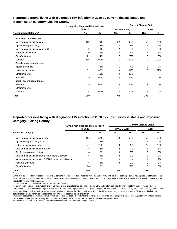# **Reported persons living with diagnosed HIV infection in 2020 by current disease status and transmission category, Licking County**

|                                          | Living with diagnosed HIV infection |      | <b>Current Disease Status</b> |                          |                |      |  |  |  |
|------------------------------------------|-------------------------------------|------|-------------------------------|--------------------------|----------------|------|--|--|--|
|                                          | in 2020                             |      | <b>HIV (not AIDS)</b>         |                          | <b>AIDS</b>    |      |  |  |  |
| <b>Transmission Category<sup>a</sup></b> | No.                                 | %    | No.                           | %                        | No.            | %    |  |  |  |
| Male adult or adolescent                 |                                     |      |                               |                          |                |      |  |  |  |
| Male-to-male sexual contact              | 109                                 | 70%  | 52                            | 68%                      | 57             | 72%  |  |  |  |
| Injection drug use (IDU)                 | 7                                   | 4%   | $\overline{2}$                | 3%                       | 5              | 6%   |  |  |  |
| Male-to-male sexual contact and IDU      | 9                                   | 6%   | 2                             | 3%                       | 7              | 9%   |  |  |  |
| Heterosexual contact                     | 9                                   | 6%   | 4                             | 5%                       | 5              | 6%   |  |  |  |
| Other/unknown                            | 22                                  | 14%  | 17                            | 22%                      | 5              | 6%   |  |  |  |
| Subtotal                                 | 156                                 | 100% | 77                            | 100%                     | 79             | 100% |  |  |  |
| Female adult or adolescent               |                                     |      |                               |                          |                |      |  |  |  |
| Injection drug use                       | 3                                   | 8%   | 1                             | 7%                       | 2              | 8%   |  |  |  |
| Heterosexual contact                     | 32                                  | 82%  | 9                             | 64%                      | 23             | 92%  |  |  |  |
| Other/unknown                            | 4                                   | 10%  | 4                             | 29%                      |                |      |  |  |  |
| Subtotal                                 | 39                                  | 100% | 14                            | 100%                     | 25             | 100% |  |  |  |
| Child (<13 yrs at diagnosis)             |                                     |      |                               |                          |                |      |  |  |  |
| Perinatal                                | 5                                   | 100% | 3                             | 100%                     | $\overline{2}$ | 100% |  |  |  |
| Other/unknown                            |                                     |      | $\overline{\phantom{a}}$      | $\overline{\phantom{a}}$ |                |      |  |  |  |
| Subtotal                                 | 5                                   | 100% | 3                             | 100%                     | $\overline{2}$ | 100% |  |  |  |
| Total                                    | 200                                 |      | 94                            |                          | 106            |      |  |  |  |

# **Reported persons living with diagnosed HIV infection in 2020 by current disease status and exposure category, Licking County**

|                                                          | Living with diagnosed HIV infection |       | <b>Current Disease Status</b> |     |             |     |  |  |  |
|----------------------------------------------------------|-------------------------------------|-------|-------------------------------|-----|-------------|-----|--|--|--|
|                                                          | in 2020                             |       | <b>HIV (not AIDS)</b>         |     | <b>AIDS</b> |     |  |  |  |
| <b>Exposure Category</b> <sup>b</sup>                    | No.                                 | %     | No.                           | %   | No.         | %   |  |  |  |
| Male-to-male sexual contact only                         | 104                                 | 52%   | 49                            | 52% | 55          | 52% |  |  |  |
| Injection drug use (IDU) only                            | 4                                   | 2%    |                               |     | 4           | 4%  |  |  |  |
| Heterosexual contact only                                | 41                                  | 21%   | 13                            | 14% | 28          | 26% |  |  |  |
| Male-to-male sexual contact & IDU                        | 8                                   | 4%    | 2                             | 2%  | 6           | 6%  |  |  |  |
| <b>IDU &amp; Heterosexual contact</b>                    | 6                                   | 3%    | 3                             | 3%  | 3           | 3%  |  |  |  |
| Male-to-male sexual contact & Heterosexual contact       | 5                                   | 3%    | 3                             | 3%  | 2           | 2%  |  |  |  |
| Male-to-male sexual contact & IDU & Heterosexual contact |                                     | $1\%$ |                               |     |             | 1%  |  |  |  |
| Perinatal exposure                                       | 5                                   | 3%    | 3                             | 3%  | 2           | 2%  |  |  |  |
| Other/unknown                                            | 26                                  | 13%   | 21                            | 22% | 5           | 5%  |  |  |  |
| Total                                                    | 200                                 |       | 94                            |     | 106         |     |  |  |  |

Notes:

Living with diagnosed HIV infection represents all persons ever diagnosed and reported with HIV and/or AIDS who have not been reported as having died as of December 31, 2020. Persons living with diagnosed HIV infection represent persons living in Ohio as of December 31, 2020, regardless of whether the person was a resident of Ohio at time of initial HIV and/or AIDS diagnosis.

Dash (-) indicates no cases were reported for the given category.

a Transmission categories are mutually exclusive, hierarchical risk categories determined by the CDC and system-calculated using sex at birth and risk factor history to determine mode of transmission. A person with multiple risks is only represented in the highest category based on the CDC hierarchical algorithm. Thus, transgender women are included in the male-to-male sexual contact transmission category if assigned male at birth and risk factor history indicates sex with males. Please note this is for the categorization of HIV transmission categories only and not to describe sexual orientation.

**b** Exposure categories are mutually exclusive risk categories. All possible combinations of risks are represented among exposure categories. A person with multiple risks is represented in the exposure category identifying all the reported ways in which that person may have been exposed to HIV.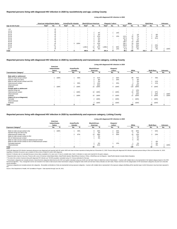|                    |                   | American Indian/Alaska Native |   | <b>Asian/Pacific Islander</b> |                | <b>Black/African-American</b> |                   | Hispanic/ Latinx <sup>a</sup> |     | White             |     |           | <b>Multi-Race</b> |                          |     | <b>Unknown</b>    |     |     |     |      |
|--------------------|-------------------|-------------------------------|---|-------------------------------|----------------|-------------------------------|-------------------|-------------------------------|-----|-------------------|-----|-----------|-------------------|--------------------------|-----|-------------------|-----|-----|-----|------|
| Age at end of year | Rate <sup>b</sup> | No.                           | % | Rate <sup>p</sup>             | No.            | %                             | Rate <sup>r</sup> | No.                           | %   | Rate <sup>r</sup> | No. | %         | Rate <sup>"</sup> | No.                      | %   | Rate <sup>p</sup> | No. | %   | No. | %    |
| < 13               |                   | $5$                           |   |                               |                |                               |                   |                               |     |                   |     |           |                   |                          |     |                   |     |     |     |      |
| $13 - 14$          |                   | < 5                           |   |                               |                |                               |                   |                               | . . |                   |     |           |                   | $\overline{\phantom{a}}$ |     |                   |     |     |     |      |
| $15 - 19$          |                   |                               |   |                               |                | $\,$ $\,$                     |                   |                               | 3%  |                   |     | 13%       | $\star$           |                          |     |                   |     |     |     |      |
| $20 - 24$          |                   | < 5                           |   |                               |                |                               |                   |                               | 3%  | $\ast$            |     |           |                   |                          | 1%  |                   |     | 8%  |     |      |
| 25-29              |                   | < 5                           |   |                               |                | $\overline{\phantom{a}}$      |                   |                               | 12% |                   |     | 13%       | 113.1             | 10                       | 7%  |                   |     | 8%  |     |      |
| 30-34              |                   | $5$                           |   |                               |                |                               |                   |                               | 6%  |                   |     | $\,$ $\,$ | 107.3             | 10                       | 7%  |                   |     | 31% |     |      |
| 35-39              |                   | < 5                           |   |                               |                | $\sim$                        |                   |                               | 6%  |                   |     | $\sim$    | 80.0              | 8                        | 6%  | $\star$           |     |     |     |      |
| 40-44              |                   | <5                            |   |                               |                |                               |                   |                               | 6%  |                   |     | $\,$ $\,$ | 148.7             | 14                       | 10% |                   |     |     |     |      |
| 45-49              |                   | $5$                           |   |                               |                | 3 100%                        | $\ast$            |                               | 12% | $\ast$            | . . | $\sim$    | 194.7             | 19                       | 14% |                   |     |     |     |      |
| 50-54              |                   | $5$                           |   |                               |                | $\sim$                        |                   |                               | 3%  |                   |     | $\sim$    | 250.0             | 27                       | 19% |                   | 3   | 23% |     |      |
| 55-64              |                   | < 5                           |   |                               | $\blacksquare$ | $\sim$                        | 484.6,            | 14                            | 41% | .908.4            | 5   | 63%       | 173.1             | 40                       | 29% | $\star$           |     | 23% |     |      |
| $65+$              |                   | < 5                           |   |                               |                |                               |                   |                               | 9%  |                   |     | 13%       | 37.8              | 11                       | 8%  |                   |     | 8%  |     | 100% |
| <b>Total</b>       |                   |                               |   |                               |                |                               | 460.5             | 34                            |     | 201.4             |     |           | 89.1              | 140                      |     | 312.7             | 13  |     |     |      |

© Transmission categories are mutually exclusive, hierarchical risk categories determined by the CDC and system-calculated using sex at birth and risk factor history to determine mode of transmission. A person with multip hierarchical algorithm. Thus, transgender women are included in the male-to-male sexual contact transmission category if assigned male at birth and risk factor history indicates sex with males. Please note this is for the sexual orientation.

|                                           |                                            |                          |                                  |        |                                   |      |                                  | Living with diagnosed HIV infection in 2020 |                |      |                   |      |                |                          |
|-------------------------------------------|--------------------------------------------|--------------------------|----------------------------------|--------|-----------------------------------|------|----------------------------------|---------------------------------------------|----------------|------|-------------------|------|----------------|--------------------------|
|                                           | American<br>Indian/Alaska<br><b>Native</b> |                          | Asian/Pacific<br><b>Islander</b> |        | <b>Black/African-</b><br>American |      | Hispanic/<br>Latinx <sup>a</sup> |                                             | White          |      | <b>Multi-Race</b> |      | <b>Unknown</b> |                          |
| <b>Transmission Category</b> <sup>c</sup> | No.                                        | %                        | No.                              | %      | No.                               | %    | No.                              | %                                           | No.            | %    | No.               | %    | No.            | %                        |
| Male adult or adolescent                  |                                            |                          |                                  |        |                                   |      |                                  |                                             |                |      |                   |      |                |                          |
| Male-to-male sexual contact               |                                            | 100%                     |                                  | 50%    | 9                                 | 41%  | $\overline{2}$                   | 50%                                         | 89             | 75%  |                   | 78%  | $\blacksquare$ | $\,$ $\,$                |
| Injection drug use (IDU)                  |                                            | $\overline{\phantom{a}}$ | $\sim$                           |        | $\sim$                            | 9%   |                                  | 25%                                         |                | 3%   |                   |      |                | $\overline{\phantom{a}}$ |
| Male-to-male sexual contact and IDU       |                                            |                          |                                  |        |                                   | 5%   |                                  |                                             |                | 6%   |                   | 11%  | $\sim$         | $\overline{\phantom{0}}$ |
| Heterosexual contact                      | $\sim$                                     |                          |                                  | 50%    |                                   | 14%  |                                  | 25%                                         | 3              | 3%   |                   | 11%  | $\sim$         | $\,$ $\,$                |
| Other/unknown                             | $\sim$                                     | $\overline{\phantom{a}}$ | $\sim$                           |        |                                   | 32%  | $\sim$                           |                                             | 15             | 13%  |                   |      | $\sim$         | $\blacksquare$           |
| Subtotal                                  |                                            | 100%                     | 2                                | 100%   | 22                                | 100% |                                  | 100%                                        | 118            | 100% | 9                 | 100% | $\blacksquare$ | $\blacksquare$           |
| Female adult or adolescent                |                                            |                          |                                  |        |                                   |      |                                  |                                             |                |      |                   |      |                |                          |
| Injection drug use                        | $\blacksquare$                             | $\sim$                   | $\sim$                           |        |                                   |      |                                  |                                             | 3              | 14%  |                   |      |                |                          |
| Heterosexual contact                      |                                            |                          |                                  | 100%   | 10                                | 100% | 3                                | 100%                                        | 16             | 76%  | $\overline{2}$    | 67%  |                |                          |
| Other/unknown                             |                                            |                          |                                  |        |                                   |      |                                  |                                             | $\overline{2}$ | 10%  |                   | 33%  |                | 100%                     |
| Subtotal                                  | $\blacksquare$                             | $\overline{\phantom{a}}$ |                                  | 100%   | 10                                | 100% | 3                                | 100%                                        | 21             | 100% | 3                 | 100% |                | 100%                     |
| Child (<13 yrs at diagnosis)              |                                            |                          |                                  |        |                                   |      |                                  |                                             |                |      |                   |      |                |                          |
| Perinatal                                 | $\sim$                                     |                          | $\sim$                           | $\sim$ | $\mathbf{2}$                      | 100% |                                  | 100%                                        |                | 100% |                   | 100% | $\blacksquare$ | $\,$ $\,$                |
| Other/unknown                             | $\blacksquare$                             |                          | $\sim$                           | $\sim$ | $\overline{\phantom{a}}$          |      | . .                              |                                             |                |      |                   |      |                | $\,$ $\,$                |
| Subtotal                                  | $\sim$                                     |                          | $\sim$                           |        | $\overline{2}$                    | 100% |                                  | 100%                                        |                | 100% |                   | 100% |                | $\overline{\phantom{0}}$ |
| <b>Total</b>                              |                                            |                          |                                  |        | 34                                |      | я                                |                                             | 140            |      | 13                |      |                |                          |

<sup>d</sup> Exposure categories are mutually exclusive risk categories. All possible combinations of risks are represented among exposure categories. A person with multiple risks is represented in the exposure category identifying

|                                                          | American<br>Indian/Alaska<br><b>Native</b> |        | <b>Asian/Pacific</b><br>Islander |               | <b>Black/African-</b><br>American |        | Hispanic/<br>Latinx <sup>a</sup> |                          | White  |     | <b>Multi-Race</b> |     | <b>Unknown</b> |        |
|----------------------------------------------------------|--------------------------------------------|--------|----------------------------------|---------------|-----------------------------------|--------|----------------------------------|--------------------------|--------|-----|-------------------|-----|----------------|--------|
| <b>Exposure Category<sup>d</sup></b>                     | No.                                        | %      | No.                              | $\frac{1}{2}$ | No.                               |        | No.                              |                          | No.    |     | No.               |     | No.            |        |
| Male-to-male sexual contact only                         |                                            | 100%   |                                  | 33%           | 9                                 | 26%    |                                  | 25%                      | 84     | 60% |                   | 54% |                |        |
| Injection drug use (IDU) only                            |                                            |        |                                  |               |                                   | 3%     |                                  | 13%                      |        | 1%  |                   |     |                |        |
| Heterosexual contact only                                | $\sim$                                     |        | 2                                | 67%           |                                   | 38%    |                                  | 50%                      | 19     | 14% |                   | 23% |                | $\sim$ |
| Male-to-male sexual contact & IDU                        |                                            |        |                                  |               |                                   | 3%     |                                  | . .                      |        | 5%  |                   |     |                |        |
| IDU & Heterosexual contact                               | $\overline{\phantom{a}}$                   | $\sim$ | $\sim$                           |               |                                   | 3%     | $\sim$                           | $\overline{\phantom{a}}$ |        | 4%  |                   |     |                |        |
| Male-to-male sexual contact & Heterosexual contact       |                                            |        |                                  |               | $\sim$                            | $\sim$ | . .                              | $\sim$                   |        | 4%  |                   |     |                |        |
| Male-to-male sexual contact & IDU & Heterosexual contact |                                            |        |                                  |               |                                   | -      |                                  |                          | $\sim$ | . . |                   | 8%  |                |        |
| Perinatal exposure                                       | $\sim$                                     | -      | $\sim$                           |               |                                   | 6%     |                                  | 13%                      |        | 1%  |                   | 8%  |                |        |
| Other/unknown                                            |                                            |        |                                  |               |                                   | 21%    |                                  |                          | 17     | 12% |                   | 8%  |                | 100%   |
| Total                                                    |                                            |        |                                  |               | 34                                |        | 8                                |                          | 140    |     | 13                |     |                |        |

Notes:

Living with diagnosed HIV infection represents all persons ever diagnosed and reported with HIV and/or AIDS who have not been reported as having died as of December 31, 2020. Persons living with diagnosed HIV infection rep regardless of whether the person was a resident of Ohio at time of initial HIV and/or AIDS diagnosis.

### **Reported persons living with diagnosed HIV infection in 2020 by race/ethnicity and transmission category, Licking County**

### **Reported persons living with diagnosed HIV infection in 2020 by race/ethnicity and age, Licking County**

#### **Living with diagnosed HIV infection in 2020**

#### **Reported persons living with diagnosed HIV infection in 2020 by race/ethnicity and exposure category, Licking County**

#### **Living with diagnosed HIV infection in 2020**

Source: Ohio Department of Health, HIV Surveillance Program. Data reported through June 30, 2021.

ᵇ The rate is the number of persons living with diagnosed HIV infection per 100,000 population calculated using U.S. Census estimates for that year.

Asterisk (\*) indicates rate not calculated because census data unavailable or for case count <5 due to unstable rates. Dash (-) indicates no cases were reported for the given category.

a Hispanics/Latinx may be of any race. Persons with a race of American Indian/Alaska Native, Asian/Pacific Islander, Black/African-American, White, or Multi-Race are not-Hispanic. Asian/Pacific Islander includes Native Haw

#### HIV.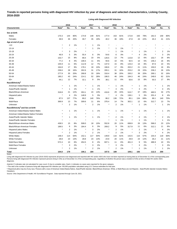# **Trends in reported persons living with diagnosed HIV infection by year of diagnosis and selected characteristics, Licking County, 2016-2020**

**Living with Diagnosed HIV Infection**

|                                              |                   | 2016                    |       |                   | 2017                    |                          |                   | 2018 |     |                   | 2019           |     |                   | 2020           |      |  |
|----------------------------------------------|-------------------|-------------------------|-------|-------------------|-------------------------|--------------------------|-------------------|------|-----|-------------------|----------------|-----|-------------------|----------------|------|--|
| <b>Characteristic</b>                        | Rate <sup>a</sup> | No.                     | %     | Rate <sup>a</sup> | No.                     | %                        | Rate <sup>a</sup> | No.  | %   | Rate <sup>a</sup> | No.            | %   | Rate <sup>a</sup> | No.            | $\%$ |  |
| Sex at birth                                 |                   |                         |       |                   |                         |                          |                   |      |     |                   |                |     |                   |                |      |  |
| Males                                        | 170.3             | 144                     | 80%   | 174.9             | 149                     | 81%                      | 177.4             | 153  | 81% | 172.8             | 150            | 78% | 181.5             | 159            | 80%  |  |
| Females                                      | 39.9              | 35                      | 20%   | 39.7              | 35                      | 19%                      | 40.2              | 36   | 19% | 47.8              | 43             | 22% | 45.3              | 41             | 21%  |  |
| Age at end of year                           |                   |                         |       |                   |                         |                          |                   |      |     |                   |                |     |                   |                |      |  |
| < 13                                         | $\star$           | $\overline{2}$          | 1%    |                   | 1                       | 1%                       |                   |      |     |                   |                |     |                   |                |      |  |
| 13-14                                        |                   |                         |       |                   | 1                       | 1%                       | $\star$           | 1    | 1%  |                   |                |     |                   |                |      |  |
| 15-19                                        | $\star$           | 3                       | 2%    | $\star$           |                         | $\overline{\phantom{a}}$ | $\star$           | 1    | 1%  |                   | 1              | 1%  |                   | $\overline{2}$ | 1%   |  |
| 20-24                                        | 46.9              | 5                       | 3%    | 55.4              | 6                       | 3%                       | 54.6              | 6    | 3%  | $\star$           | 4              | 2%  | $\star$           | 3              | 2%   |  |
| 25-29                                        | 153.7             | 15                      | 8%    | 99.4              | 10                      | 5%                       | 126.5             | 13   | 7%  | 115.8             | 12             | 6%  | 153.7             | 16             | 8%   |  |
| 30-34                                        | 77.2              | 8                       | 4%    | 106.5             | 11                      | 6%                       | 94.6              | 10   | 5%  | 92.5              | 10             | 5%  | 146.2             | 16             | 8%   |  |
| 35-39                                        | 105.9             | 11                      | 6%    | 112.9             | 12                      | 7%                       | 137.0             | 15   | 8%  | 143.4             | 16             | 8%  | 87.6              | 10             | 5%   |  |
| 40-44                                        | 164.8             | 17                      | 9%    | 178.1             | 18                      | 10%                      | 166.6             | 17   | 9%  | 202.2             | 21             | 11% | 150.0             | 16             | 8%   |  |
| 45-49                                        | 236.6             | 28                      | 16%   | 262.6             | 31                      | 17%                      | 265.1             | 31   | 16% | 253.2             | 29             | 15% | 236.2             | 26             | 13%  |  |
| 50-54                                        | 277.9             | 35                      | 20%   | 268.8             | 33                      | 18%                      | 316.4             | 38   | 20% | 330.2             | 39             | 20% | 269.1             | 32             | 16%  |  |
| 55-64                                        | 180.2             | 43                      | 24%   | 214.1             | 52                      | 28%                      | 186.5             | 46   | 24% | 184.3             | 46             | 24% | 248.6             | 62             | 31%  |  |
| $65+$                                        | 44.1              | 12                      | 7%    | 32.1              | 9                       | 5%                       | 38.1              | 11   | 6%  | 50.6              | 15             | 8%  | 55.5              | 17             | 9%   |  |
| Race/Ethnicity <sup>b</sup>                  |                   |                         |       |                   |                         |                          |                   |      |     |                   |                |     |                   |                |      |  |
| American Indian/Alaska Native                | $\star$           | $\mathbf{1}$            | $1\%$ |                   | 1                       | 1%                       | $\ast$            | 1    | 1%  |                   | 1              | 1%  |                   | 1              | 1%   |  |
| Asian/Pacific Islander                       | $\star$           | -1                      | 1%    | $\star$           | -1                      | 1%                       | $\star$           | 3    | 2%  | $\star$           | 3              | 2%  | $^\star$          | 3              | 2%   |  |
| Black/African-American                       | 318.8             | 21                      | 12%   | 353.1             | 24                      | 13%                      | 416.6             | 29   | 15% | 515.7             | 37             | 19% | 460.5             | 34             | 17%  |  |
| Hispanic/Latinx                              | $\star$           | 4                       | 2%    | 148.9             | 5                       | 3%                       | $\star$           | 4    | 2%  | 136.1             | 5              | 3%  | 201.4             | 8              | 4%   |  |
| White                                        | 87.5              | 137                     | 77%   | 89.2              | 140                     | 76%                      | 86.2              | 136  | 72% | 85.1              | 134            | 69% | 89.1              | 140            | 70%  |  |
| Multi-Race                                   | 369.9             | 13                      | 7%    | 309.6             | 11                      | 6%                       | 376.4             | 14   | 7%  | 302.1             | 12             | 6%  | 312.7             | 13             | 7%   |  |
| Unknown                                      | $\star$           | $\overline{2}$          | 1%    | $\star$           | 2                       | 1%                       | ×                 | 2    | 1%  |                   | $\mathbf{1}$   | 1%  |                   | 1              | 1%   |  |
| Race/Ethnicity <sup>b</sup> and Sex at birth |                   |                         |       |                   |                         |                          |                   |      |     |                   |                |     |                   |                |      |  |
| American Indian/Alaska Native Males          | $^\star$          | $\mathbf{1}$            | 1%    |                   | -1                      | 1%                       | $\star$           | 1    | 1%  |                   | 1              | 1%  |                   | 1              | 1%   |  |
| American Indian/Alaska Native Females        |                   |                         |       |                   |                         |                          |                   |      |     |                   |                |     |                   |                |      |  |
| Asian/Pacific Islander Males                 |                   | $\mathbf{1}$            | 1%    |                   | 1                       | 1%                       | $\star$           | 2    | 1%  |                   | $\overline{c}$ | 1%  |                   | 2              | 1%   |  |
| Asian/Pacific Islander Females               |                   |                         |       |                   |                         |                          | $\star$           | -1   | 1%  | $\ast$            | $\mathbf 1$    | 1%  |                   | 1              | 1%   |  |
| Black/African-American Males                 | 438.5             | 15                      | 8%    | 508.0             | 18                      | 10%                      | 552.8             | 20   | 11% | 699.9             | 26             | 13% | 596.0             | 23             | 12%  |  |
| <b>Black/African-American Females</b>        | 189.5             | 6                       | 3%    | 184.4             | 6                       | 3%                       | 269.2             | 9    | 5%  | 317.9             | 11             | 6%  | 312.1             | 11             | 6%   |  |
| Hispanic/Latino Males                        | $\star$           | $\overline{2}$          | 1%    |                   | 3                       | 2%                       |                   | 2    | 1%  |                   | $\overline{2}$ | 1%  |                   | 4              | 2%   |  |
| Hispanic/Latina Females                      | $\star$           | $\overline{\mathbf{c}}$ | 1%    |                   | $\overline{\mathbf{c}}$ | 1%                       |                   | 2    | 1%  |                   | 3              | 2%  |                   | 4              | 2%   |  |
| <b>White Males</b>                           | 148.4             | 114                     | 64%   | 152.1             | 117                     | 64%                      | 149.9             | 116  | 61% | 142.5             | 110            | 57% | 154.4             | 119            | 60%  |  |
| <b>White Females</b>                         | 28.8              | 23                      | 13%   | 28.8              | 23                      | 13%                      | 24.9              | 20   | 11% | 29.9              | 24             | 12% | 26.2              | 21             | 11%  |  |
| Multi-Race Males                             | 572.4             | 10                      | 6%    | 454.5             | 8                       | 4%                       | 607.1             | 11   | 6%  | 461.3             | 9              | 5%  | 486.9             | 10             | 5%   |  |
| Multi-Race Females                           | $\star$           | 3                       | 2%    |                   | 3                       | 2%                       | $\star$           | 3    | 2%  | $\star$           | 3              | 2%  |                   | 3              | 2%   |  |
| Unknown                                      | $\star$           | $\overline{c}$          | 1%    |                   | $\overline{c}$          | $1\%$                    | $\star$           | 2    | 1%  | $\star$           | 1              | 1%  |                   | 1              | 1%   |  |
| <b>Total</b>                                 | 104.0             | 179                     |       | 106.1             | 184                     |                          | 107.5             | 189  |     | 109.1             | 193            |     | 112.3             | 200            |      |  |

Living with diagnosed HIV infection by year (2016-2020) represents all persons ever diagnosed and reported with HIV and/or AIDS who have not been reported as having died as of December 31 of the corresponding year. Persons living with diagnosed HIV infection represent persons living in Ohio as of December 31 of the corresponding year, regardless of whether the person was a resident of Ohio at time of initial HIV and/or AIDS diagnosis.

Asterisk (\*) indicates rate not calculated for case count <5 due to unstable rates. Dash (-) indicates no cases were reported for the given category.

<sup>a</sup> The rate is the number of persons living with diagnosed HIV infection per 100,000 population calculated using U.S. Census estimates for that year.

ᵇ Hispanics/Latinx may be of any race. Persons with a race of American Indian/Alaska Native, Asian/Pacific Islander, Black/African-American, White, or Multi-Race are not-Hispanic. Asian/Pacific Islander includes Native Hawaiians.